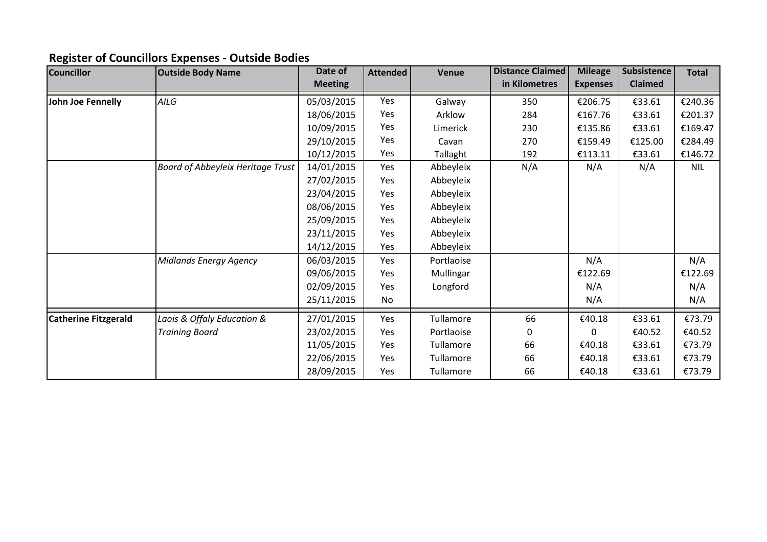## **Register of Councillors Expenses - Outside Bodies**

| Councillor                  | <b>Outside Body Name</b>                 | Date of        | <b>Attended</b> | Venue      | <b>Distance Claimed</b> | <b>Mileage</b>  | Subsistence    | <b>Total</b> |
|-----------------------------|------------------------------------------|----------------|-----------------|------------|-------------------------|-----------------|----------------|--------------|
|                             |                                          | <b>Meeting</b> |                 |            | in Kilometres           | <b>Expenses</b> | <b>Claimed</b> |              |
| John Joe Fennelly           | AILG                                     | 05/03/2015     | Yes             | Galway     | 350                     | €206.75         | €33.61         | €240.36      |
|                             |                                          | 18/06/2015     | Yes             | Arklow     | 284                     | €167.76         | €33.61         | €201.37      |
|                             |                                          | 10/09/2015     | Yes             | Limerick   | 230                     | €135.86         | €33.61         | €169.47      |
|                             |                                          | 29/10/2015     | Yes             | Cavan      | 270                     | €159.49         | €125.00        | €284.49      |
|                             |                                          | 10/12/2015     | Yes             | Tallaght   | 192                     | €113.11         | €33.61         | €146.72      |
|                             | <b>Board of Abbeyleix Heritage Trust</b> | 14/01/2015     | Yes             | Abbeyleix  | N/A                     | N/A             | N/A            | NIL          |
|                             |                                          | 27/02/2015     | Yes             | Abbeyleix  |                         |                 |                |              |
|                             |                                          | 23/04/2015     | Yes             | Abbeyleix  |                         |                 |                |              |
|                             |                                          | 08/06/2015     | Yes             | Abbeyleix  |                         |                 |                |              |
|                             |                                          | 25/09/2015     | Yes             | Abbeyleix  |                         |                 |                |              |
|                             |                                          | 23/11/2015     | Yes             | Abbeyleix  |                         |                 |                |              |
|                             |                                          | 14/12/2015     | Yes             | Abbeyleix  |                         |                 |                |              |
|                             | <b>Midlands Energy Agency</b>            | 06/03/2015     | Yes             | Portlaoise |                         | N/A             |                | N/A          |
|                             |                                          | 09/06/2015     | Yes             | Mullingar  |                         | €122.69         |                | €122.69      |
|                             |                                          | 02/09/2015     | Yes             | Longford   |                         | N/A             |                | N/A          |
|                             |                                          | 25/11/2015     | No              |            |                         | N/A             |                | N/A          |
| <b>Catherine Fitzgerald</b> | Laois & Offaly Education &               | 27/01/2015     | Yes             | Tullamore  | 66                      | €40.18          | €33.61         | €73.79       |
|                             | <b>Training Board</b>                    | 23/02/2015     | Yes             | Portlaoise | 0                       | $\Omega$        | €40.52         | €40.52       |
|                             |                                          | 11/05/2015     | Yes             | Tullamore  | 66                      | €40.18          | €33.61         | €73.79       |
|                             |                                          | 22/06/2015     | Yes             | Tullamore  | 66                      | €40.18          | €33.61         | €73.79       |
|                             |                                          | 28/09/2015     | Yes             | Tullamore  | 66                      | €40.18          | €33.61         | €73.79       |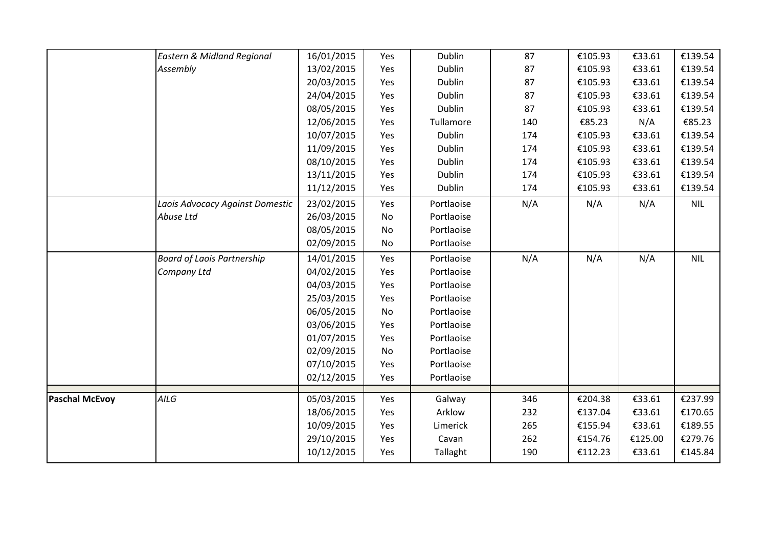|                       | Eastern & Midland Regional        | 16/01/2015 | Yes       | Dublin     | 87  | €105.93 | €33.61  | €139.54    |
|-----------------------|-----------------------------------|------------|-----------|------------|-----|---------|---------|------------|
|                       | Assembly                          | 13/02/2015 | Yes       | Dublin     | 87  | €105.93 | €33.61  | €139.54    |
|                       |                                   | 20/03/2015 | Yes       | Dublin     | 87  | €105.93 | €33.61  | €139.54    |
|                       |                                   | 24/04/2015 | Yes       | Dublin     | 87  | €105.93 | €33.61  | €139.54    |
|                       |                                   | 08/05/2015 | Yes       | Dublin     | 87  | €105.93 | €33.61  | €139.54    |
|                       |                                   | 12/06/2015 | Yes       | Tullamore  | 140 | €85.23  | N/A     | €85.23     |
|                       |                                   | 10/07/2015 | Yes       | Dublin     | 174 | €105.93 | €33.61  | €139.54    |
|                       |                                   | 11/09/2015 | Yes       | Dublin     | 174 | €105.93 | €33.61  | €139.54    |
|                       |                                   | 08/10/2015 | Yes       | Dublin     | 174 | €105.93 | €33.61  | €139.54    |
|                       |                                   | 13/11/2015 | Yes       | Dublin     | 174 | €105.93 | €33.61  | €139.54    |
|                       |                                   | 11/12/2015 | Yes       | Dublin     | 174 | €105.93 | €33.61  | €139.54    |
|                       | Laois Advocacy Against Domestic   | 23/02/2015 | Yes       | Portlaoise | N/A | N/A     | N/A     | <b>NIL</b> |
|                       | Abuse Ltd                         | 26/03/2015 | No        | Portlaoise |     |         |         |            |
|                       |                                   | 08/05/2015 | No        | Portlaoise |     |         |         |            |
|                       |                                   | 02/09/2015 | No        | Portlaoise |     |         |         |            |
|                       | <b>Board of Laois Partnership</b> | 14/01/2015 | Yes       | Portlaoise | N/A | N/A     | N/A     | <b>NIL</b> |
|                       | Company Ltd                       | 04/02/2015 | Yes       | Portlaoise |     |         |         |            |
|                       |                                   | 04/03/2015 | Yes       | Portlaoise |     |         |         |            |
|                       |                                   | 25/03/2015 | Yes       | Portlaoise |     |         |         |            |
|                       |                                   | 06/05/2015 | No        | Portlaoise |     |         |         |            |
|                       |                                   | 03/06/2015 | Yes       | Portlaoise |     |         |         |            |
|                       |                                   | 01/07/2015 | Yes       | Portlaoise |     |         |         |            |
|                       |                                   | 02/09/2015 | <b>No</b> | Portlaoise |     |         |         |            |
|                       |                                   | 07/10/2015 | Yes       | Portlaoise |     |         |         |            |
|                       |                                   | 02/12/2015 | Yes       | Portlaoise |     |         |         |            |
| <b>Paschal McEvoy</b> | AILG                              | 05/03/2015 | Yes       | Galway     | 346 | €204.38 | €33.61  | €237.99    |
|                       |                                   | 18/06/2015 | Yes       | Arklow     | 232 | €137.04 | €33.61  | €170.65    |
|                       |                                   | 10/09/2015 | Yes       | Limerick   | 265 | €155.94 | €33.61  | €189.55    |
|                       |                                   | 29/10/2015 | Yes       | Cavan      | 262 | €154.76 | €125.00 | €279.76    |
|                       |                                   | 10/12/2015 | Yes       | Tallaght   | 190 | €112.23 | €33.61  | €145.84    |
|                       |                                   |            |           |            |     |         |         |            |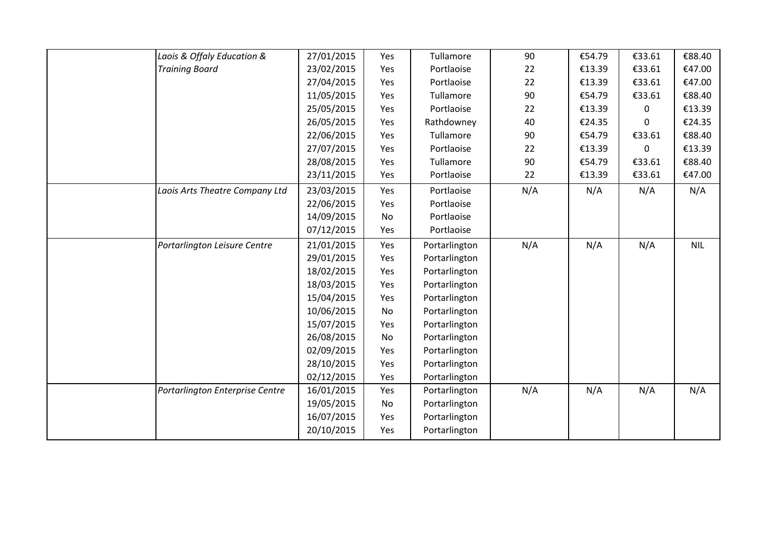| Laois & Offaly Education &      | 27/01/2015 | Yes | Tullamore     | 90  | €54.79 | €33.61 | €88.40     |
|---------------------------------|------------|-----|---------------|-----|--------|--------|------------|
| <b>Training Board</b>           | 23/02/2015 | Yes | Portlaoise    | 22  | €13.39 | €33.61 | €47.00     |
|                                 | 27/04/2015 | Yes | Portlaoise    | 22  | €13.39 | €33.61 | €47.00     |
|                                 | 11/05/2015 | Yes | Tullamore     | 90  | €54.79 | €33.61 | €88.40     |
|                                 | 25/05/2015 | Yes | Portlaoise    | 22  | €13.39 | 0      | €13.39     |
|                                 | 26/05/2015 | Yes | Rathdowney    | 40  | €24.35 | 0      | €24.35     |
|                                 | 22/06/2015 | Yes | Tullamore     | 90  | €54.79 | €33.61 | €88.40     |
|                                 | 27/07/2015 | Yes | Portlaoise    | 22  | €13.39 | 0      | €13.39     |
|                                 | 28/08/2015 | Yes | Tullamore     | 90  | €54.79 | €33.61 | €88.40     |
|                                 | 23/11/2015 | Yes | Portlaoise    | 22  | €13.39 | €33.61 | €47.00     |
| Laois Arts Theatre Company Ltd  | 23/03/2015 | Yes | Portlaoise    | N/A | N/A    | N/A    | N/A        |
|                                 | 22/06/2015 | Yes | Portlaoise    |     |        |        |            |
|                                 | 14/09/2015 | No  | Portlaoise    |     |        |        |            |
|                                 | 07/12/2015 | Yes | Portlaoise    |     |        |        |            |
| Portarlington Leisure Centre    | 21/01/2015 | Yes | Portarlington | N/A | N/A    | N/A    | <b>NIL</b> |
|                                 | 29/01/2015 | Yes | Portarlington |     |        |        |            |
|                                 | 18/02/2015 | Yes | Portarlington |     |        |        |            |
|                                 | 18/03/2015 | Yes | Portarlington |     |        |        |            |
|                                 | 15/04/2015 | Yes | Portarlington |     |        |        |            |
|                                 | 10/06/2015 | No  | Portarlington |     |        |        |            |
|                                 | 15/07/2015 | Yes | Portarlington |     |        |        |            |
|                                 | 26/08/2015 | No  | Portarlington |     |        |        |            |
|                                 | 02/09/2015 | Yes | Portarlington |     |        |        |            |
|                                 | 28/10/2015 | Yes | Portarlington |     |        |        |            |
|                                 | 02/12/2015 | Yes | Portarlington |     |        |        |            |
| Portarlington Enterprise Centre | 16/01/2015 | Yes | Portarlington | N/A | N/A    | N/A    | N/A        |
|                                 | 19/05/2015 | No  | Portarlington |     |        |        |            |
|                                 | 16/07/2015 | Yes | Portarlington |     |        |        |            |
|                                 | 20/10/2015 | Yes | Portarlington |     |        |        |            |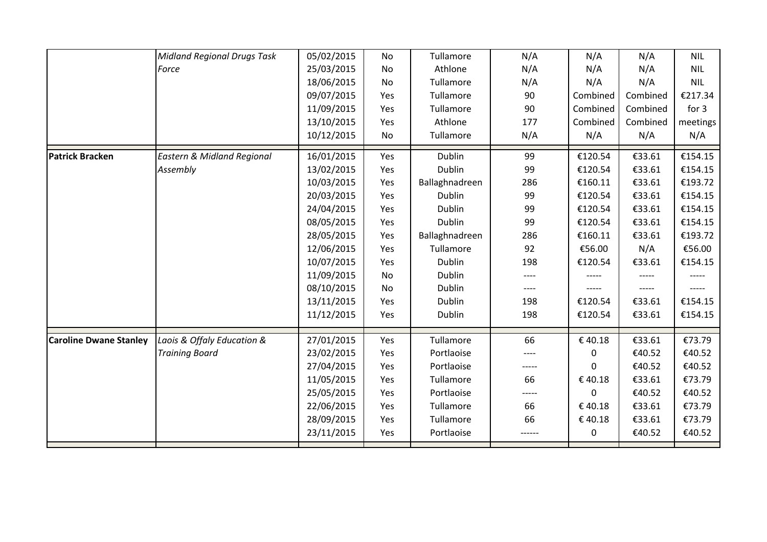|                               | <b>Midland Regional Drugs Task</b>    | 05/02/2015 | No        | Tullamore      | N/A    | N/A         | N/A      | <b>NIL</b> |
|-------------------------------|---------------------------------------|------------|-----------|----------------|--------|-------------|----------|------------|
|                               | Force                                 | 25/03/2015 | No        | Athlone        | N/A    | N/A         | N/A      | <b>NIL</b> |
|                               |                                       | 18/06/2015 | <b>No</b> | Tullamore      | N/A    | N/A         | N/A      | <b>NIL</b> |
|                               |                                       | 09/07/2015 | Yes       | Tullamore      | 90     | Combined    | Combined | €217.34    |
|                               |                                       | 11/09/2015 | Yes       | Tullamore      | 90     | Combined    | Combined | for 3      |
|                               |                                       | 13/10/2015 | Yes       | Athlone        | 177    | Combined    | Combined | meetings   |
|                               |                                       | 10/12/2015 | No        | Tullamore      | N/A    | N/A         | N/A      | N/A        |
| <b>Patrick Bracken</b>        | <b>Eastern &amp; Midland Regional</b> | 16/01/2015 | Yes       | Dublin         | 99     | €120.54     | €33.61   | €154.15    |
|                               | Assembly                              | 13/02/2015 | Yes       | Dublin         | 99     | €120.54     | €33.61   | €154.15    |
|                               |                                       | 10/03/2015 | Yes       | Ballaghnadreen | 286    | €160.11     | €33.61   | €193.72    |
|                               |                                       | 20/03/2015 | Yes       | Dublin         | 99     | €120.54     | €33.61   | €154.15    |
|                               |                                       | 24/04/2015 | Yes       | Dublin         | 99     | €120.54     | €33.61   | €154.15    |
|                               |                                       | 08/05/2015 | Yes       | Dublin         | 99     | €120.54     | €33.61   | €154.15    |
|                               |                                       | 28/05/2015 | Yes       | Ballaghnadreen | 286    | €160.11     | €33.61   | €193.72    |
|                               |                                       | 12/06/2015 | Yes       | Tullamore      | 92     | €56.00      | N/A      | €56.00     |
|                               |                                       | 10/07/2015 | Yes       | Dublin         | 198    | €120.54     | €33.61   | €154.15    |
|                               |                                       | 11/09/2015 | No        | Dublin         |        |             |          |            |
|                               |                                       | 08/10/2015 | No        | Dublin         | $---$  |             | -----    |            |
|                               |                                       | 13/11/2015 | Yes       | Dublin         | 198    | €120.54     | €33.61   | €154.15    |
|                               |                                       | 11/12/2015 | Yes       | Dublin         | 198    | €120.54     | €33.61   | €154.15    |
| <b>Caroline Dwane Stanley</b> | Laois & Offaly Education &            | 27/01/2015 | Yes       | Tullamore      | 66     | €40.18      | €33.61   | €73.79     |
|                               | <b>Training Board</b>                 | 23/02/2015 | Yes       | Portlaoise     | ----   | 0           | €40.52   | €40.52     |
|                               |                                       | 27/04/2015 | Yes       | Portlaoise     | -----  | $\Omega$    | €40.52   | €40.52     |
|                               |                                       | 11/05/2015 | Yes       | Tullamore      | 66     | €40.18      | €33.61   | €73.79     |
|                               |                                       | 25/05/2015 | Yes       | Portlaoise     | -----  | $\Omega$    | €40.52   | €40.52     |
|                               |                                       | 22/06/2015 | Yes       | Tullamore      | 66     | €40.18      | €33.61   | €73.79     |
|                               |                                       | 28/09/2015 | Yes       | Tullamore      | 66     | €40.18      | €33.61   | €73.79     |
|                               |                                       | 23/11/2015 | Yes       | Portlaoise     | ------ | $\mathbf 0$ | €40.52   | €40.52     |
|                               |                                       |            |           |                |        |             |          |            |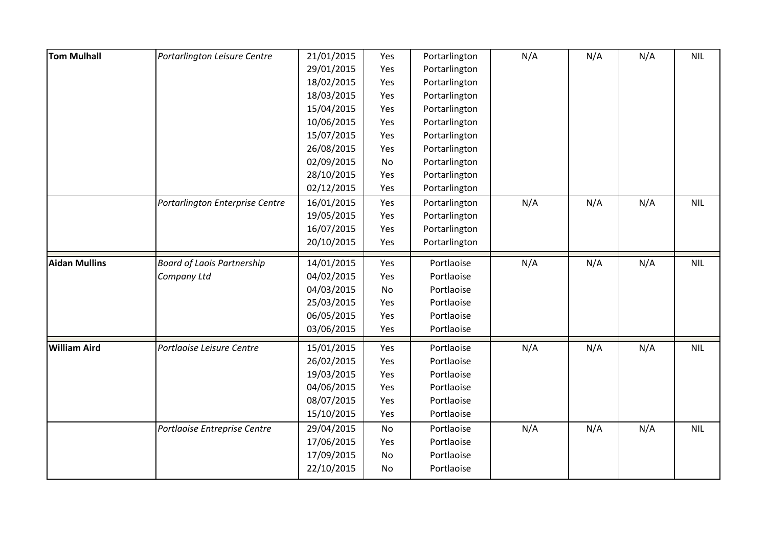| <b>Tom Mulhall</b>   | Portarlington Leisure Centre      | 21/01/2015 | Yes       | Portarlington | N/A | N/A | N/A | <b>NIL</b> |
|----------------------|-----------------------------------|------------|-----------|---------------|-----|-----|-----|------------|
|                      |                                   | 29/01/2015 | Yes       | Portarlington |     |     |     |            |
|                      |                                   | 18/02/2015 | Yes       | Portarlington |     |     |     |            |
|                      |                                   | 18/03/2015 | Yes       | Portarlington |     |     |     |            |
|                      |                                   | 15/04/2015 | Yes       | Portarlington |     |     |     |            |
|                      |                                   | 10/06/2015 | Yes       | Portarlington |     |     |     |            |
|                      |                                   | 15/07/2015 | Yes       | Portarlington |     |     |     |            |
|                      |                                   | 26/08/2015 | Yes       | Portarlington |     |     |     |            |
|                      |                                   | 02/09/2015 | No        | Portarlington |     |     |     |            |
|                      |                                   | 28/10/2015 | Yes       | Portarlington |     |     |     |            |
|                      |                                   | 02/12/2015 | Yes       | Portarlington |     |     |     |            |
|                      | Portarlington Enterprise Centre   | 16/01/2015 | Yes       | Portarlington | N/A | N/A | N/A | <b>NIL</b> |
|                      |                                   | 19/05/2015 | Yes       | Portarlington |     |     |     |            |
|                      |                                   | 16/07/2015 | Yes       | Portarlington |     |     |     |            |
|                      |                                   | 20/10/2015 | Yes       | Portarlington |     |     |     |            |
| <b>Aidan Mullins</b> | <b>Board of Laois Partnership</b> | 14/01/2015 | Yes       | Portlaoise    | N/A | N/A | N/A | <b>NIL</b> |
|                      | Company Ltd                       | 04/02/2015 | Yes       | Portlaoise    |     |     |     |            |
|                      |                                   | 04/03/2015 | No        | Portlaoise    |     |     |     |            |
|                      |                                   | 25/03/2015 | Yes       | Portlaoise    |     |     |     |            |
|                      |                                   | 06/05/2015 | Yes       | Portlaoise    |     |     |     |            |
|                      |                                   | 03/06/2015 | Yes       | Portlaoise    |     |     |     |            |
| <b>William Aird</b>  | Portlaoise Leisure Centre         | 15/01/2015 | Yes       | Portlaoise    | N/A | N/A | N/A | <b>NIL</b> |
|                      |                                   | 26/02/2015 | Yes       | Portlaoise    |     |     |     |            |
|                      |                                   | 19/03/2015 | Yes       | Portlaoise    |     |     |     |            |
|                      |                                   | 04/06/2015 | Yes       | Portlaoise    |     |     |     |            |
|                      |                                   | 08/07/2015 | Yes       | Portlaoise    |     |     |     |            |
|                      |                                   | 15/10/2015 | Yes       | Portlaoise    |     |     |     |            |
|                      | Portlaoise Entreprise Centre      | 29/04/2015 | No        | Portlaoise    | N/A | N/A | N/A | <b>NIL</b> |
|                      |                                   | 17/06/2015 | Yes       | Portlaoise    |     |     |     |            |
|                      |                                   | 17/09/2015 | <b>No</b> | Portlaoise    |     |     |     |            |
|                      |                                   | 22/10/2015 | No        | Portlaoise    |     |     |     |            |
|                      |                                   |            |           |               |     |     |     |            |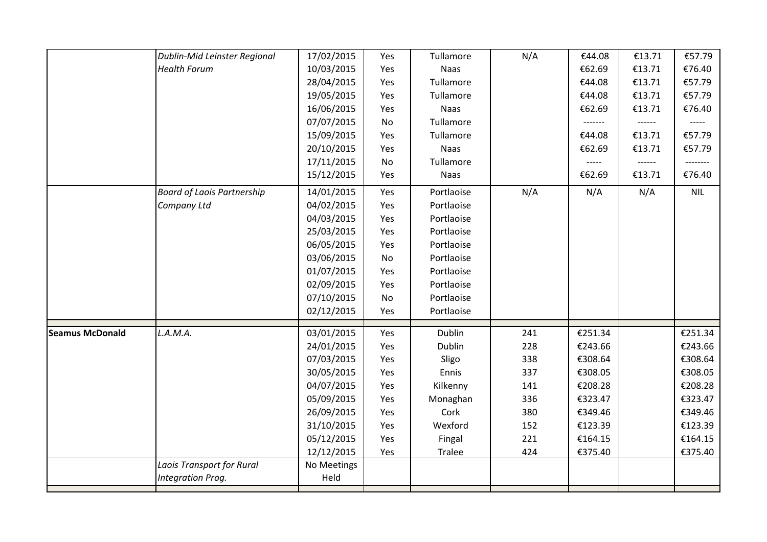|                        | Dublin-Mid Leinster Regional      | 17/02/2015               | Yes              | Tullamore                | N/A | €44.08  | €13.71 | €57.79     |
|------------------------|-----------------------------------|--------------------------|------------------|--------------------------|-----|---------|--------|------------|
|                        | <b>Health Forum</b>               | 10/03/2015               | Yes              | Naas                     |     | €62.69  | €13.71 | €76.40     |
|                        |                                   | 28/04/2015               | Yes              | Tullamore                |     | €44.08  | €13.71 | €57.79     |
|                        |                                   | 19/05/2015               | Yes              | Tullamore                |     | €44.08  | €13.71 | €57.79     |
|                        |                                   | 16/06/2015               | Yes              | Naas                     |     | €62.69  | €13.71 | €76.40     |
|                        |                                   | 07/07/2015               | <b>No</b>        | Tullamore                |     | ------- | ------ | -----      |
|                        |                                   | 15/09/2015               | Yes              | Tullamore                |     | €44.08  | €13.71 | €57.79     |
|                        |                                   | 20/10/2015               | Yes              | <b>Naas</b>              |     | €62.69  | €13.71 | €57.79     |
|                        |                                   | 17/11/2015               | <b>No</b>        | Tullamore                |     | -----   | ------ | --------   |
|                        |                                   | 15/12/2015               | Yes              | <b>Naas</b>              |     | €62.69  | €13.71 | €76.40     |
|                        |                                   |                          |                  |                          |     |         |        |            |
|                        | <b>Board of Laois Partnership</b> | 14/01/2015<br>04/02/2015 | Yes<br>Yes       | Portlaoise<br>Portlaoise | N/A | N/A     | N/A    | <b>NIL</b> |
|                        | Company Ltd                       |                          |                  | Portlaoise               |     |         |        |            |
|                        |                                   | 04/03/2015<br>25/03/2015 | Yes              | Portlaoise               |     |         |        |            |
|                        |                                   | 06/05/2015               | Yes              | Portlaoise               |     |         |        |            |
|                        |                                   | 03/06/2015               | Yes              | Portlaoise               |     |         |        |            |
|                        |                                   |                          | No               |                          |     |         |        |            |
|                        |                                   | 01/07/2015               | Yes              | Portlaoise               |     |         |        |            |
|                        |                                   | 02/09/2015<br>07/10/2015 | Yes<br><b>No</b> | Portlaoise<br>Portlaoise |     |         |        |            |
|                        |                                   | 02/12/2015               | Yes              | Portlaoise               |     |         |        |            |
|                        |                                   |                          |                  |                          |     |         |        |            |
| <b>Seamus McDonald</b> | L.A.M.A.                          | 03/01/2015               | Yes              | Dublin                   | 241 | €251.34 |        | €251.34    |
|                        |                                   | 24/01/2015               | Yes              | Dublin                   | 228 | €243.66 |        | €243.66    |
|                        |                                   | 07/03/2015               | Yes              | Sligo                    | 338 | €308.64 |        | €308.64    |
|                        |                                   | 30/05/2015               | Yes              | Ennis                    | 337 | €308.05 |        | €308.05    |
|                        |                                   | 04/07/2015               | Yes              | Kilkenny                 | 141 | €208.28 |        | €208.28    |
|                        |                                   | 05/09/2015               | Yes              | Monaghan                 | 336 | €323.47 |        | €323.47    |
|                        |                                   | 26/09/2015               | Yes              | Cork                     | 380 | €349.46 |        | €349.46    |
|                        |                                   | 31/10/2015               | Yes              | Wexford                  | 152 | €123.39 |        | €123.39    |
|                        |                                   | 05/12/2015               | Yes              | Fingal                   | 221 | €164.15 |        | €164.15    |
|                        |                                   | 12/12/2015               | Yes              | Tralee                   | 424 | €375.40 |        | €375.40    |
|                        | Laois Transport for Rural         | No Meetings              |                  |                          |     |         |        |            |
|                        | Integration Prog.                 | Held                     |                  |                          |     |         |        |            |
|                        |                                   |                          |                  |                          |     |         |        |            |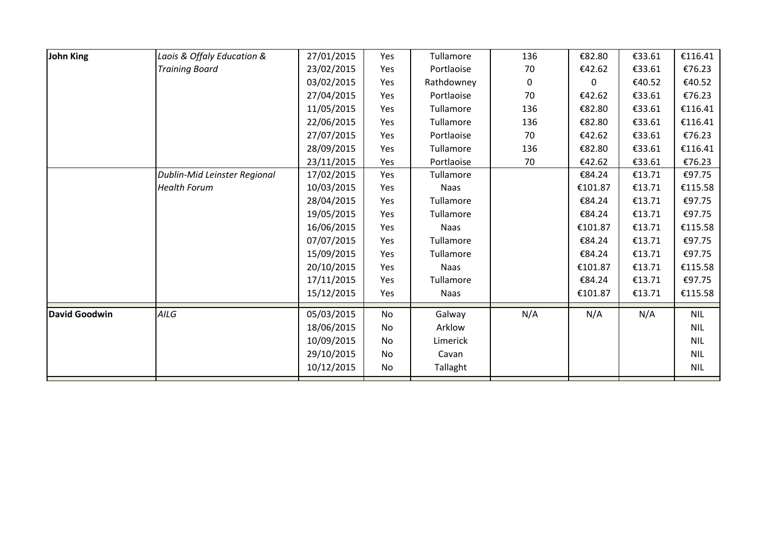| John King            | Laois & Offaly Education &          | 27/01/2015 | Yes | Tullamore   | 136 | €82.80  | €33.61 | €116.41    |
|----------------------|-------------------------------------|------------|-----|-------------|-----|---------|--------|------------|
|                      | <b>Training Board</b>               | 23/02/2015 | Yes | Portlaoise  | 70  | €42.62  | €33.61 | €76.23     |
|                      |                                     | 03/02/2015 | Yes | Rathdowney  | 0   | 0       | €40.52 | €40.52     |
|                      |                                     | 27/04/2015 | Yes | Portlaoise  | 70  | €42.62  | €33.61 | €76.23     |
|                      |                                     | 11/05/2015 | Yes | Tullamore   | 136 | €82.80  | €33.61 | €116.41    |
|                      |                                     | 22/06/2015 | Yes | Tullamore   | 136 | €82.80  | €33.61 | €116.41    |
|                      |                                     | 27/07/2015 | Yes | Portlaoise  | 70  | €42.62  | €33.61 | €76.23     |
|                      |                                     | 28/09/2015 | Yes | Tullamore   | 136 | €82.80  | €33.61 | €116.41    |
|                      |                                     | 23/11/2015 | Yes | Portlaoise  | 70  | €42.62  | €33.61 | €76.23     |
|                      | <b>Dublin-Mid Leinster Regional</b> | 17/02/2015 | Yes | Tullamore   |     | €84.24  | €13.71 | €97.75     |
|                      | <b>Health Forum</b>                 | 10/03/2015 | Yes | <b>Naas</b> |     | €101.87 | €13.71 | €115.58    |
|                      |                                     | 28/04/2015 | Yes | Tullamore   |     | €84.24  | €13.71 | €97.75     |
|                      |                                     | 19/05/2015 | Yes | Tullamore   |     | €84.24  | €13.71 | €97.75     |
|                      |                                     | 16/06/2015 | Yes | <b>Naas</b> |     | €101.87 | €13.71 | €115.58    |
|                      |                                     | 07/07/2015 | Yes | Tullamore   |     | €84.24  | €13.71 | €97.75     |
|                      |                                     | 15/09/2015 | Yes | Tullamore   |     | €84.24  | €13.71 | €97.75     |
|                      |                                     | 20/10/2015 | Yes | <b>Naas</b> |     | €101.87 | €13.71 | €115.58    |
|                      |                                     | 17/11/2015 | Yes | Tullamore   |     | €84.24  | €13.71 | €97.75     |
|                      |                                     | 15/12/2015 | Yes | Naas        |     | €101.87 | €13.71 | €115.58    |
| <b>David Goodwin</b> | AILG                                | 05/03/2015 | No  | Galway      | N/A | N/A     | N/A    | <b>NIL</b> |
|                      |                                     | 18/06/2015 | No  | Arklow      |     |         |        | <b>NIL</b> |
|                      |                                     | 10/09/2015 | No  | Limerick    |     |         |        | <b>NIL</b> |
|                      |                                     | 29/10/2015 | No  | Cavan       |     |         |        | <b>NIL</b> |
|                      |                                     | 10/12/2015 | No  | Tallaght    |     |         |        | <b>NIL</b> |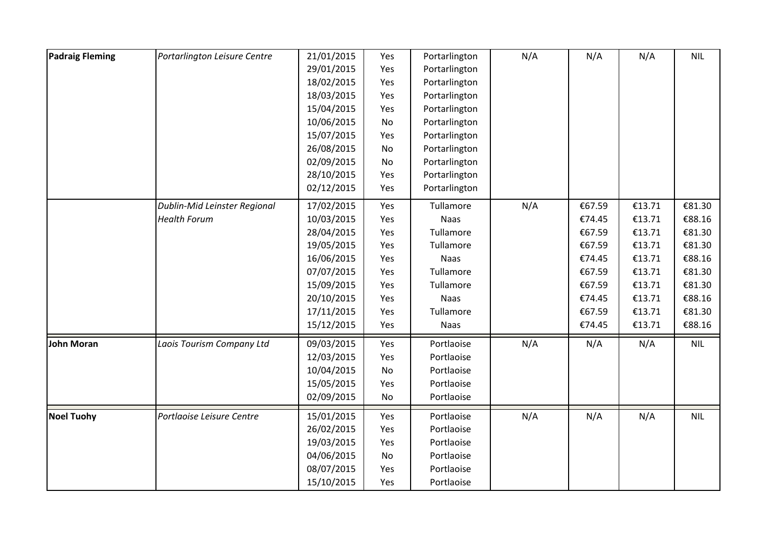| <b>Padraig Fleming</b> | Portarlington Leisure Centre | 21/01/2015 | Yes | Portarlington | N/A | N/A    | N/A    | <b>NIL</b> |
|------------------------|------------------------------|------------|-----|---------------|-----|--------|--------|------------|
|                        |                              | 29/01/2015 | Yes | Portarlington |     |        |        |            |
|                        |                              | 18/02/2015 | Yes | Portarlington |     |        |        |            |
|                        |                              | 18/03/2015 | Yes | Portarlington |     |        |        |            |
|                        |                              | 15/04/2015 | Yes | Portarlington |     |        |        |            |
|                        |                              | 10/06/2015 | No  | Portarlington |     |        |        |            |
|                        |                              | 15/07/2015 | Yes | Portarlington |     |        |        |            |
|                        |                              | 26/08/2015 | No  | Portarlington |     |        |        |            |
|                        |                              | 02/09/2015 | No  | Portarlington |     |        |        |            |
|                        |                              | 28/10/2015 | Yes | Portarlington |     |        |        |            |
|                        |                              | 02/12/2015 | Yes | Portarlington |     |        |        |            |
|                        | Dublin-Mid Leinster Regional | 17/02/2015 | Yes | Tullamore     | N/A | €67.59 | €13.71 | €81.30     |
|                        | <b>Health Forum</b>          | 10/03/2015 | Yes | Naas          |     | €74.45 | €13.71 | €88.16     |
|                        |                              | 28/04/2015 | Yes | Tullamore     |     | €67.59 | €13.71 | €81.30     |
|                        |                              | 19/05/2015 | Yes | Tullamore     |     | €67.59 | €13.71 | €81.30     |
|                        |                              | 16/06/2015 | Yes | Naas          |     | €74.45 | €13.71 | €88.16     |
|                        |                              | 07/07/2015 | Yes | Tullamore     |     | €67.59 | €13.71 | €81.30     |
|                        |                              | 15/09/2015 | Yes | Tullamore     |     | €67.59 | €13.71 | €81.30     |
|                        |                              | 20/10/2015 | Yes | <b>Naas</b>   |     | €74.45 | €13.71 | €88.16     |
|                        |                              | 17/11/2015 | Yes | Tullamore     |     | €67.59 | €13.71 | €81.30     |
|                        |                              | 15/12/2015 | Yes | Naas          |     | €74.45 | €13.71 | €88.16     |
| <b>John Moran</b>      | Laois Tourism Company Ltd    | 09/03/2015 | Yes | Portlaoise    | N/A | N/A    | N/A    | <b>NIL</b> |
|                        |                              | 12/03/2015 | Yes | Portlaoise    |     |        |        |            |
|                        |                              | 10/04/2015 | No  | Portlaoise    |     |        |        |            |
|                        |                              | 15/05/2015 | Yes | Portlaoise    |     |        |        |            |
|                        |                              | 02/09/2015 | No  | Portlaoise    |     |        |        |            |
| <b>Noel Tuohy</b>      | Portlaoise Leisure Centre    | 15/01/2015 | Yes | Portlaoise    | N/A | N/A    | N/A    | <b>NIL</b> |
|                        |                              | 26/02/2015 | Yes | Portlaoise    |     |        |        |            |
|                        |                              | 19/03/2015 | Yes | Portlaoise    |     |        |        |            |
|                        |                              | 04/06/2015 | No  | Portlaoise    |     |        |        |            |
|                        |                              | 08/07/2015 | Yes | Portlaoise    |     |        |        |            |
|                        |                              | 15/10/2015 | Yes | Portlaoise    |     |        |        |            |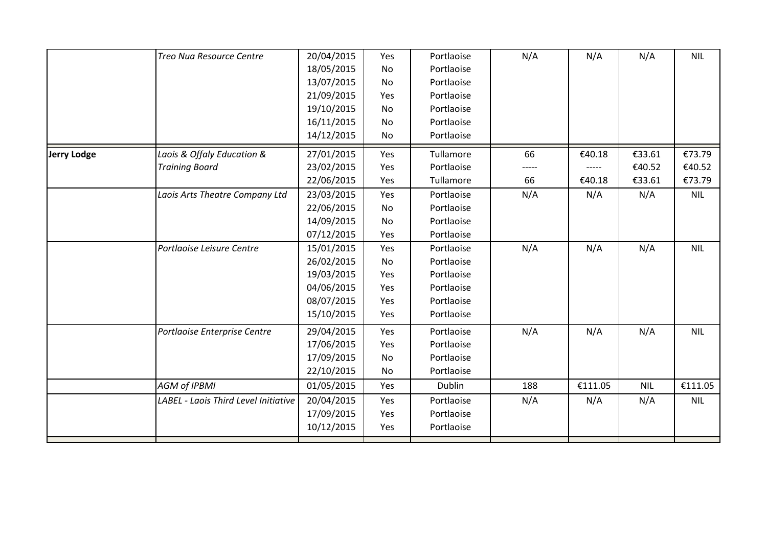|                    | Treo Nua Resource Centre             | 20/04/2015 | Yes | Portlaoise | N/A | N/A     | N/A        | <b>NIL</b> |
|--------------------|--------------------------------------|------------|-----|------------|-----|---------|------------|------------|
|                    |                                      | 18/05/2015 | No  | Portlaoise |     |         |            |            |
|                    |                                      | 13/07/2015 | No  | Portlaoise |     |         |            |            |
|                    |                                      | 21/09/2015 | Yes | Portlaoise |     |         |            |            |
|                    |                                      | 19/10/2015 | No  | Portlaoise |     |         |            |            |
|                    |                                      | 16/11/2015 | No  | Portlaoise |     |         |            |            |
|                    |                                      | 14/12/2015 | No  | Portlaoise |     |         |            |            |
| <b>Jerry Lodge</b> | Laois & Offaly Education &           | 27/01/2015 | Yes | Tullamore  | 66  | €40.18  | €33.61     | €73.79     |
|                    | <b>Training Board</b>                | 23/02/2015 | Yes | Portlaoise |     |         | €40.52     | €40.52     |
|                    |                                      | 22/06/2015 | Yes | Tullamore  | 66  | €40.18  | €33.61     | €73.79     |
|                    | Laois Arts Theatre Company Ltd       | 23/03/2015 | Yes | Portlaoise | N/A | N/A     | N/A        | <b>NIL</b> |
|                    |                                      | 22/06/2015 | No  | Portlaoise |     |         |            |            |
|                    |                                      | 14/09/2015 | No  | Portlaoise |     |         |            |            |
|                    |                                      | 07/12/2015 | Yes | Portlaoise |     |         |            |            |
|                    | Portlaoise Leisure Centre            | 15/01/2015 | Yes | Portlaoise | N/A | N/A     | N/A        | <b>NIL</b> |
|                    |                                      | 26/02/2015 | No  | Portlaoise |     |         |            |            |
|                    |                                      | 19/03/2015 | Yes | Portlaoise |     |         |            |            |
|                    |                                      | 04/06/2015 | Yes | Portlaoise |     |         |            |            |
|                    |                                      | 08/07/2015 | Yes | Portlaoise |     |         |            |            |
|                    |                                      | 15/10/2015 | Yes | Portlaoise |     |         |            |            |
|                    | Portlaoise Enterprise Centre         | 29/04/2015 | Yes | Portlaoise | N/A | N/A     | N/A        | <b>NIL</b> |
|                    |                                      | 17/06/2015 | Yes | Portlaoise |     |         |            |            |
|                    |                                      | 17/09/2015 | No  | Portlaoise |     |         |            |            |
|                    |                                      | 22/10/2015 | No  | Portlaoise |     |         |            |            |
|                    | <b>AGM of IPBMI</b>                  | 01/05/2015 | Yes | Dublin     | 188 | €111.05 | <b>NIL</b> | €111.05    |
|                    | LABEL - Laois Third Level Initiative | 20/04/2015 | Yes | Portlaoise | N/A | N/A     | N/A        | <b>NIL</b> |
|                    |                                      | 17/09/2015 | Yes | Portlaoise |     |         |            |            |
|                    |                                      | 10/12/2015 | Yes | Portlaoise |     |         |            |            |
|                    |                                      |            |     |            |     |         |            |            |